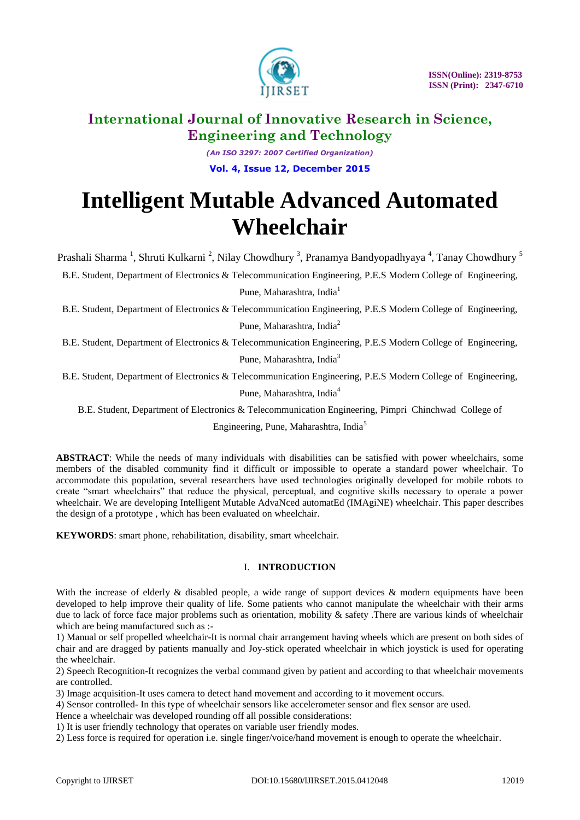

*(An ISO 3297: 2007 Certified Organization)* **Vol. 4, Issue 12, December 2015**

# **Intelligent Mutable Advanced Automated Wheelchair**

Prashali Sharma<sup>1</sup>, Shruti Kulkarni<sup>2</sup>, Nilay Chowdhury<sup>3</sup>, Pranamya Bandyopadhyaya<sup>4</sup>, Tanay Chowdhury<sup>5</sup>

B.E. Student, Department of Electronics & Telecommunication Engineering, P.E.S Modern College of Engineering, Pune, Maharashtra, India<sup>1</sup>

B.E. Student, Department of Electronics & Telecommunication Engineering, P.E.S Modern College of Engineering, Pune, Maharashtra, India<sup>2</sup>

B.E. Student, Department of Electronics & Telecommunication Engineering, P.E.S Modern College of Engineering,

Pune, Maharashtra, India<sup>3</sup>

B.E. Student, Department of Electronics & Telecommunication Engineering, P.E.S Modern College of Engineering,

Pune, Maharashtra, India<sup>4</sup>

B.E. Student, Department of Electronics & Telecommunication Engineering, Pimpri Chinchwad College of

Engineering, Pune, Maharashtra, India<sup>5</sup>

**ABSTRACT**: While the needs of many individuals with disabilities can be satisfied with power wheelchairs, some members of the disabled community find it difficult or impossible to operate a standard power wheelchair. To accommodate this population, several researchers have used technologies originally developed for mobile robots to create "smart wheelchairs" that reduce the physical, perceptual, and cognitive skills necessary to operate a power wheelchair. We are developing Intelligent Mutable AdvaNced automatEd (IMAgiNE) wheelchair. This paper describes the design of a prototype , which has been evaluated on wheelchair.

**KEYWORDS**: smart phone, rehabilitation, disability, smart wheelchair.

### I. **INTRODUCTION**

With the increase of elderly & disabled people, a wide range of support devices & modern equipments have been developed to help improve their quality of life. Some patients who cannot manipulate the wheelchair with their arms due to lack of force face major problems such as orientation, mobility & safety. There are various kinds of wheelchair which are being manufactured such as :-

1) Manual or self propelled wheelchair-It is normal chair arrangement having wheels which are present on both sides of chair and are dragged by patients manually and Joy-stick operated wheelchair in which joystick is used for operating the wheelchair.

2) Speech Recognition-It recognizes the verbal command given by patient and according to that wheelchair movements are controlled.

3) Image acquisition-It uses camera to detect hand movement and according to it movement occurs.

4) Sensor controlled- In this type of wheelchair sensors like accelerometer sensor and flex sensor are used.

Hence a wheelchair was developed rounding off all possible considerations:

1) It is user friendly technology that operates on variable user friendly modes.

2) Less force is required for operation i.e. single finger/voice/hand movement is enough to operate the wheelchair.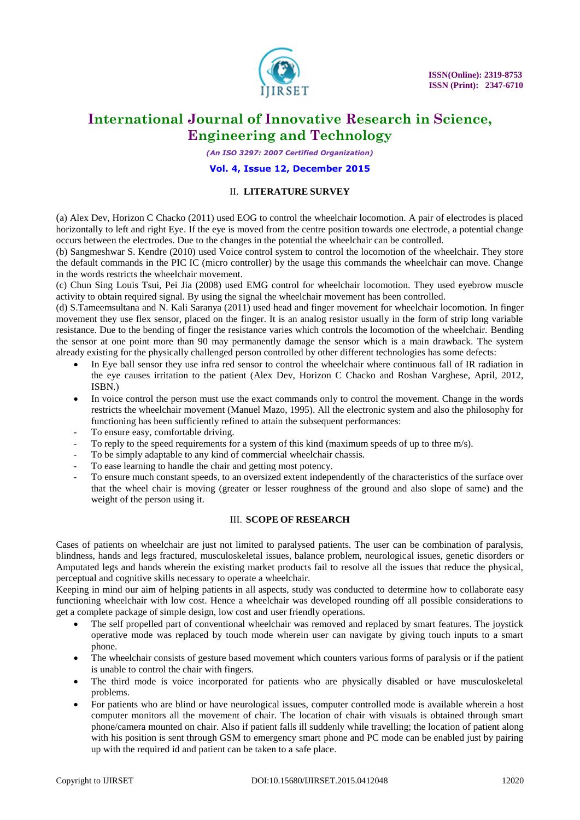

*(An ISO 3297: 2007 Certified Organization)*

#### **Vol. 4, Issue 12, December 2015**

### II. **LITERATURE SURVEY**

(a) Alex Dev, Horizon C Chacko (2011) used EOG to control the wheelchair locomotion. A pair of electrodes is placed horizontally to left and right Eye. If the eye is moved from the centre position towards one electrode, a potential change occurs between the electrodes. Due to the changes in the potential the wheelchair can be controlled.

(b) Sangmeshwar S. Kendre (2010) used Voice control system to control the locomotion of the wheelchair. They store the default commands in the PIC IC (micro controller) by the usage this commands the wheelchair can move. Change in the words restricts the wheelchair movement.

(c) Chun Sing Louis Tsui, Pei Jia (2008) used EMG control for wheelchair locomotion. They used eyebrow muscle activity to obtain required signal. By using the signal the wheelchair movement has been controlled.

(d) S.Tameemsultana and N. Kali Saranya (2011) used head and finger movement for wheelchair locomotion. In finger movement they use flex sensor, placed on the finger. It is an analog resistor usually in the form of strip long variable resistance. Due to the bending of finger the resistance varies which controls the locomotion of the wheelchair. Bending the sensor at one point more than 90 may permanently damage the sensor which is a main drawback. The system already existing for the physically challenged person controlled by other different technologies has some defects:

- In Eye ball sensor they use infra red sensor to control the wheelchair where continuous fall of IR radiation in the eye causes irritation to the patient (Alex Dev, Horizon C Chacko and Roshan Varghese, April, 2012, ISBN.)
- In voice control the person must use the exact commands only to control the movement. Change in the words restricts the wheelchair movement (Manuel Mazo, 1995). All the electronic system and also the philosophy for functioning has been sufficiently refined to attain the subsequent performances:
- To ensure easy, comfortable driving.
- To reply to the speed requirements for a system of this kind (maximum speeds of up to three  $m/s$ ).
- To be simply adaptable to any kind of commercial wheelchair chassis.
- To ease learning to handle the chair and getting most potency.
- To ensure much constant speeds, to an oversized extent independently of the characteristics of the surface over that the wheel chair is moving (greater or lesser roughness of the ground and also slope of same) and the weight of the person using it.

### III. **SCOPE OF RESEARCH**

Cases of patients on wheelchair are just not limited to paralysed patients. The user can be combination of paralysis, blindness, hands and legs fractured, musculoskeletal issues, balance problem, neurological issues, genetic disorders or Amputated legs and hands wherein the existing market products fail to resolve all the issues that reduce the physical, perceptual and cognitive skills necessary to operate a wheelchair.

Keeping in mind our aim of helping patients in all aspects, study was conducted to determine how to collaborate easy functioning wheelchair with low cost. Hence a wheelchair was developed rounding off all possible considerations to get a complete package of simple design, low cost and user friendly operations.

- The self propelled part of conventional wheelchair was removed and replaced by smart features. The joystick operative mode was replaced by touch mode wherein user can navigate by giving touch inputs to a smart phone.
- The wheelchair consists of gesture based movement which counters various forms of paralysis or if the patient is unable to control the chair with fingers.
- The third mode is voice incorporated for patients who are physically disabled or have musculoskeletal problems.
- For patients who are blind or have neurological issues, computer controlled mode is available wherein a host computer monitors all the movement of chair. The location of chair with visuals is obtained through smart phone/camera mounted on chair. Also if patient falls ill suddenly while travelling; the location of patient along with his position is sent through GSM to emergency smart phone and PC mode can be enabled just by pairing up with the required id and patient can be taken to a safe place.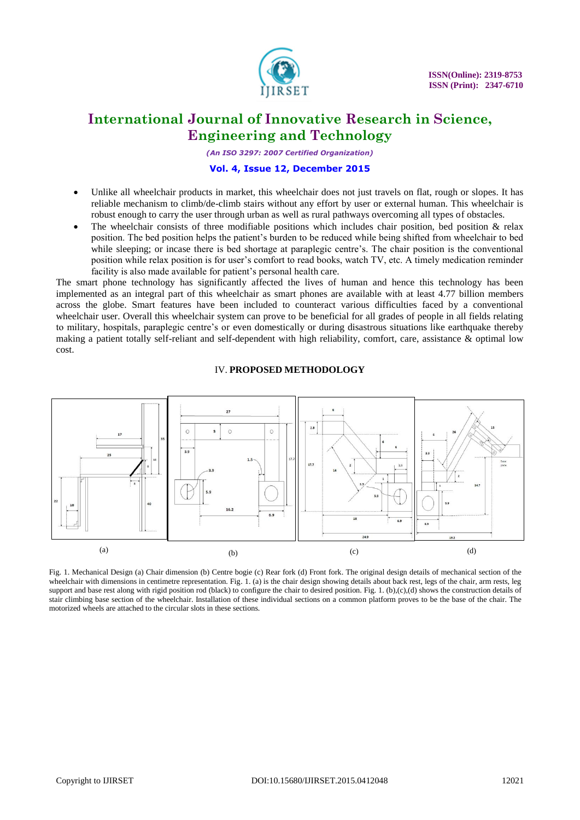

*(An ISO 3297: 2007 Certified Organization)*

#### **Vol. 4, Issue 12, December 2015**

- Unlike all wheelchair products in market, this wheelchair does not just travels on flat, rough or slopes. It has reliable mechanism to climb/de-climb stairs without any effort by user or external human. This wheelchair is robust enough to carry the user through urban as well as rural pathways overcoming all types of obstacles.
- The wheelchair consists of three modifiable positions which includes chair position, bed position  $\&$  relax position. The bed position helps the patient"s burden to be reduced while being shifted from wheelchair to bed while sleeping; or incase there is bed shortage at paraplegic centre's. The chair position is the conventional position while relax position is for user"s comfort to read books, watch TV, etc. A timely medication reminder facility is also made available for patient's personal health care.

The smart phone technology has significantly affected the lives of human and hence this technology has been implemented as an integral part of this wheelchair as smart phones are available with at least 4.77 billion members across the globe. Smart features have been included to counteract various difficulties faced by a conventional wheelchair user. Overall this wheelchair system can prove to be beneficial for all grades of people in all fields relating to military, hospitals, paraplegic centre"s or even domestically or during disastrous situations like earthquake thereby making a patient totally self-reliant and self-dependent with high reliability, comfort, care, assistance & optimal low cost.

# IV. **PROPOSED METHODOLOGY**



Fig. 1. Mechanical Design (a) Chair dimension (b) Centre bogie (c) Rear fork (d) Front fork. The original design details of mechanical section of the wheelchair with dimensions in centimetre representation. Fig. 1. (a) is the chair design showing details about back rest, legs of the chair, arm rests, leg support and base rest along with rigid position rod (black) to configure the chair to desired position. Fig. 1. (b),(c),(d) shows the construction details of stair climbing base section of the wheelchair. Installation of these individual sections on a common platform proves to be the base of the chair. The motorized wheels are attached to the circular slots in these sections.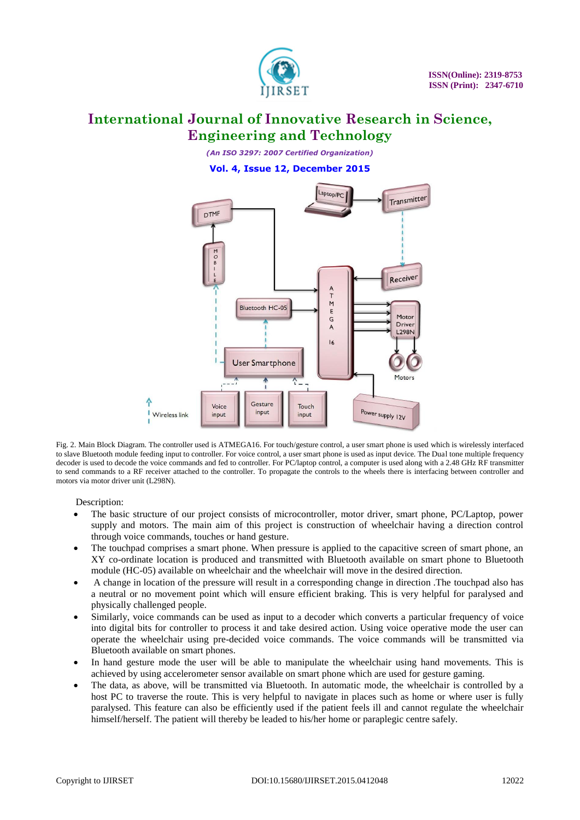

*(An ISO 3297: 2007 Certified Organization)* **Vol. 4, Issue 12, December 2015**



Fig. 2. Main Block Diagram. The controller used is ATMEGA16. For touch/gesture control, a user smart phone is used which is wirelessly interfaced to slave Bluetooth module feeding input to controller. For voice control, a user smart phone is used as input device. The Dual tone multiple frequency decoder is used to decode the voice commands and fed to controller. For PC/laptop control, a computer is used along with a 2.48 GHz RF transmitter to send commands to a RF receiver attached to the controller. To propagate the controls to the wheels there is interfacing between controller and motors via motor driver unit (L298N).

Description:

- The basic structure of our project consists of microcontroller, motor driver, smart phone, PC/Laptop, power supply and motors. The main aim of this project is construction of wheelchair having a direction control through voice commands, touches or hand gesture.
- The touchpad comprises a smart phone. When pressure is applied to the capacitive screen of smart phone, an XY co-ordinate location is produced and transmitted with Bluetooth available on smart phone to Bluetooth module (HC-05) available on wheelchair and the wheelchair will move in the desired direction.
- A change in location of the pressure will result in a corresponding change in direction .The touchpad also has a neutral or no movement point which will ensure efficient braking. This is very helpful for paralysed and physically challenged people.
- Similarly, voice commands can be used as input to a decoder which converts a particular frequency of voice into digital bits for controller to process it and take desired action. Using voice operative mode the user can operate the wheelchair using pre-decided voice commands. The voice commands will be transmitted via Bluetooth available on smart phones.
- In hand gesture mode the user will be able to manipulate the wheelchair using hand movements. This is achieved by using accelerometer sensor available on smart phone which are used for gesture gaming.
- The data, as above, will be transmitted via Bluetooth. In automatic mode, the wheelchair is controlled by a host PC to traverse the route. This is very helpful to navigate in places such as home or where user is fully paralysed. This feature can also be efficiently used if the patient feels ill and cannot regulate the wheelchair himself/herself. The patient will thereby be leaded to his/her home or paraplegic centre safely.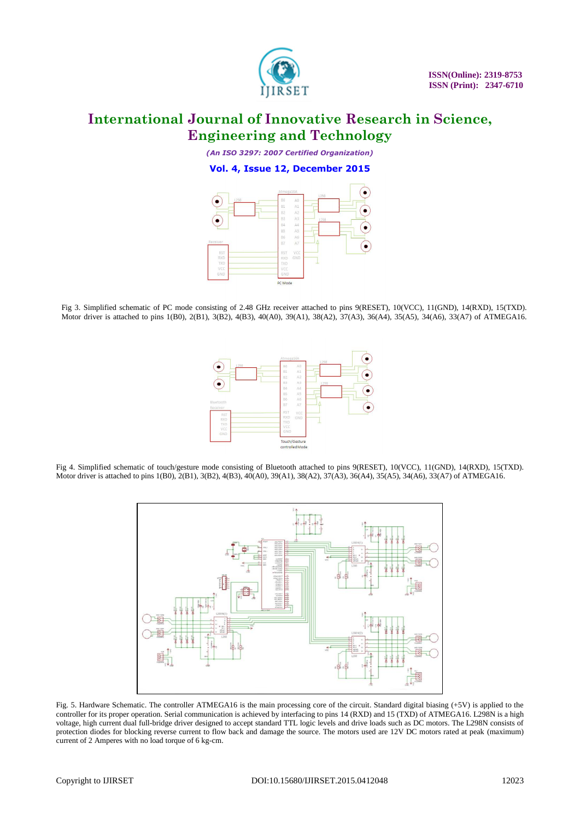

*(An ISO 3297: 2007 Certified Organization)* **Vol. 4, Issue 12, December 2015**



Fig 3. Simplified schematic of PC mode consisting of 2.48 GHz receiver attached to pins 9(RESET), 10(VCC), 11(GND), 14(RXD), 15(TXD). Motor driver is attached to pins 1(B0), 2(B1), 3(B2), 4(B3), 40(A0), 39(A1), 38(A2), 37(A3), 36(A4), 35(A5), 34(A6), 33(A7) of ATMEGA16.



Fig 4. Simplified schematic of touch/gesture mode consisting of Bluetooth attached to pins 9(RESET), 10(VCC), 11(GND), 14(RXD), 15(TXD). Motor driver is attached to pins 1(B0), 2(B1), 3(B2), 4(B3), 40(A0), 39(A1), 38(A2), 37(A3), 36(A4), 35(A5), 34(A6), 33(A7) of ATMEGA16.



Fig. 5. Hardware Schematic. The controller ATMEGA16 is the main processing core of the circuit. Standard digital biasing (+5V) is applied to the controller for its proper operation. Serial communication is achieved by interfacing to pins 14 (RXD) and 15 (TXD) of ATMEGA16. L298N is a high voltage, high current dual full-bridge driver designed to accept standard TTL logic levels and drive loads such as DC motors. The L298N consists of protection diodes for blocking reverse current to flow back and damage the source. The motors used are 12V DC motors rated at peak (maximum) current of 2 Amperes with no load torque of 6 kg-cm.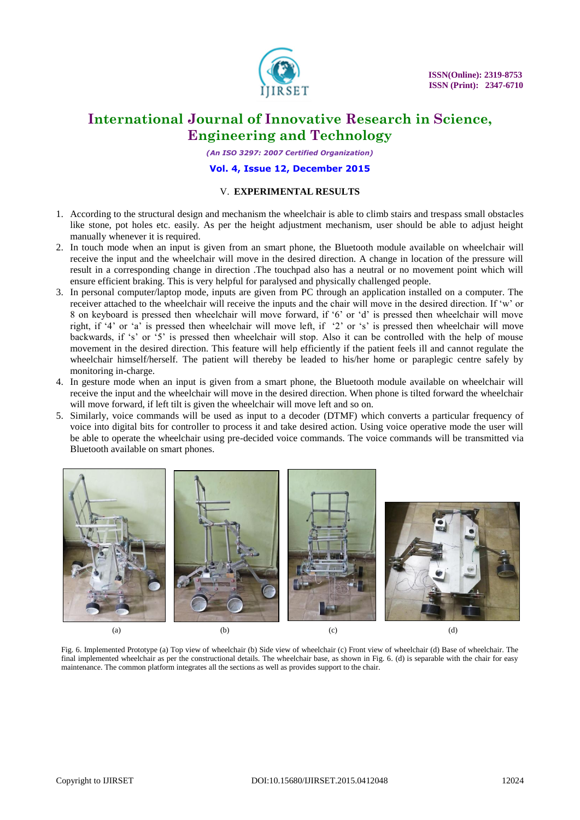

*(An ISO 3297: 2007 Certified Organization)*

#### **Vol. 4, Issue 12, December 2015**

#### V. **EXPERIMENTAL RESULTS**

- 1. According to the structural design and mechanism the wheelchair is able to climb stairs and trespass small obstacles like stone, pot holes etc. easily. As per the height adjustment mechanism, user should be able to adjust height manually whenever it is required.
- 2. In touch mode when an input is given from an smart phone, the Bluetooth module available on wheelchair will receive the input and the wheelchair will move in the desired direction. A change in location of the pressure will result in a corresponding change in direction .The touchpad also has a neutral or no movement point which will ensure efficient braking. This is very helpful for paralysed and physically challenged people.
- 3. In personal computer/laptop mode, inputs are given from PC through an application installed on a computer. The receiver attached to the wheelchair will receive the inputs and the chair will move in the desired direction. If "w" or 8 on keyboard is pressed then wheelchair will move forward, if "6" or "d" is pressed then wheelchair will move right, if "4" or "a" is pressed then wheelchair will move left, if "2" or "s" is pressed then wheelchair will move backwards, if 's' or  $\cdot$ 5' is pressed then wheelchair will stop. Also it can be controlled with the help of mouse movement in the desired direction. This feature will help efficiently if the patient feels ill and cannot regulate the wheelchair himself/herself. The patient will thereby be leaded to his/her home or paraplegic centre safely by monitoring in-charge.
- 4. In gesture mode when an input is given from a smart phone, the Bluetooth module available on wheelchair will receive the input and the wheelchair will move in the desired direction. When phone is tilted forward the wheelchair will move forward, if left tilt is given the wheelchair will move left and so on.
- 5. Similarly, voice commands will be used as input to a decoder (DTMF) which converts a particular frequency of voice into digital bits for controller to process it and take desired action. Using voice operative mode the user will be able to operate the wheelchair using pre-decided voice commands. The voice commands will be transmitted via Bluetooth available on smart phones.



Fig. 6. Implemented Prototype (a) Top view of wheelchair (b) Side view of wheelchair (c) Front view of wheelchair (d) Base of wheelchair. The final implemented wheelchair as per the constructional details. The wheelchair base, as shown in Fig. 6. (d) is separable with the chair for easy maintenance. The common platform integrates all the sections as well as provides support to the chair.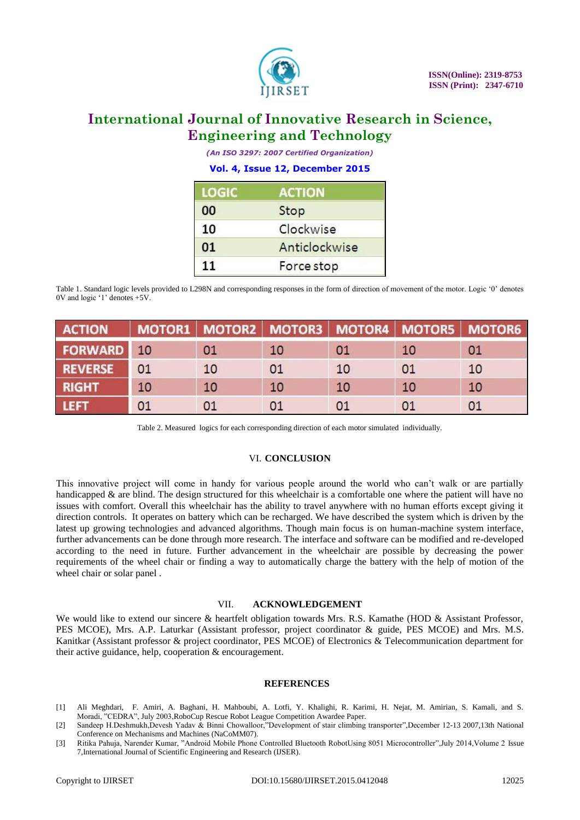

*(An ISO 3297: 2007 Certified Organization)*

### **Vol. 4, Issue 12, December 2015**

| <b>LOGIC</b> | <b>ACTION</b> |  |  |  |
|--------------|---------------|--|--|--|
| 00           | Stop          |  |  |  |
| 10           | Clockwise     |  |  |  |
| 01           | Anticlockwise |  |  |  |
| 11           | Force stop    |  |  |  |

Table 1. Standard logic levels provided to L298N and corresponding responses in the form of direction of movement of the motor. Logic "0" denotes 0V and logic "1" denotes +5V.

| <b>ACTION</b>     |    |    | MOTOR1   MOTOR2   MOTOR3   MOTOR4   MOTOR5   MOTOR6 |    |    |    |
|-------------------|----|----|-----------------------------------------------------|----|----|----|
| <b>FORWARD</b> 10 |    | 01 | 10                                                  | 01 | 10 | 01 |
| <b>REVERSE</b>    | 01 | 10 | 01                                                  | 10 | 01 | 10 |
| <b>RIGHT</b>      | 10 | 10 | 10                                                  | 10 | 10 | 10 |
| <b>LEFT</b>       | 01 | 01 | 01                                                  |    | 01 | 01 |

Table 2. Measured logics for each corresponding direction of each motor simulated individually.

### VI. **CONCLUSION**

This innovative project will come in handy for various people around the world who can"t walk or are partially handicapped & are blind. The design structured for this wheelchair is a comfortable one where the patient will have no issues with comfort. Overall this wheelchair has the ability to travel anywhere with no human efforts except giving it direction controls. It operates on battery which can be recharged. We have described the system which is driven by the latest up growing technologies and advanced algorithms. Though main focus is on human-machine system interface, further advancements can be done through more research. The interface and software can be modified and re-developed according to the need in future. Further advancement in the wheelchair are possible by decreasing the power requirements of the wheel chair or finding a way to automatically charge the battery with the help of motion of the wheel chair or solar panel .

#### VII. **ACKNOWLEDGEMENT**

We would like to extend our sincere & heartfelt obligation towards Mrs. R.S. Kamathe (HOD & Assistant Professor, PES MCOE), Mrs. A.P. Laturkar (Assistant professor, project coordinator & guide, PES MCOE) and Mrs. M.S. Kanitkar (Assistant professor & project coordinator, PES MCOE) of Electronics & Telecommunication department for their active guidance, help, cooperation & encouragement.

#### **REFERENCES**

- [1] Ali Meghdari, F. Amiri, A. Baghani, H. Mahboubi, A. Lotfi, Y. Khalighi, R. Karimi, H. Nejat, M. Amirian, S. Kamali, and S. Moradi, "CEDRA", July 2003,RoboCup Rescue Robot League Competition Awardee Paper.
- [2] Sandeep H.Deshmukh,Devesh Yadav & Binni Chowalloor,"Development of stair climbing transporter",December 12-13 2007,13th National Conference on Mechanisms and Machines (NaCoMM07).
- [3] Ritika Pahuja, Narender Kumar, "Android Mobile Phone Controlled Bluetooth RobotUsing 8051 Microcontroller",July 2014,Volume 2 Issue 7,International Journal of Scientific Engineering and Research (IJSER).